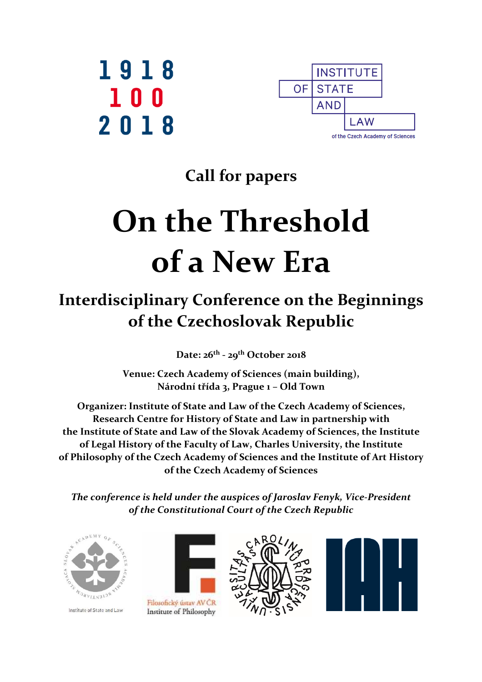



# **Call for papers**

# **On the Threshold of a New Era**

# **Interdisciplinary Conference on the Beginnings of the Czechoslovak Republic**

**Date: 26th - 29th October 2018** 

**Venue: Czech Academy of Sciences (main building), Národní třída 3, Prague 1 – Old Town** 

**Organizer: Institute of State and Law of the Czech Academy of Sciences, Research Centre for History of State and Law in partnership with the Institute of State and Law of the Slovak Academy of Sciences, the Institute of Legal History of the Faculty of Law, Charles University, the Institute of Philosophy of the Czech Academy of Sciences and the Institute of Art History of the Czech Academy of Sciences** 

*The conference is held under the auspices of Jaroslav Fenyk, Vice-President of the Constitutional Court of the Czech Republic* 



Institute of State and Law



Filosofický ústav AV ČR Institute of Philosophy



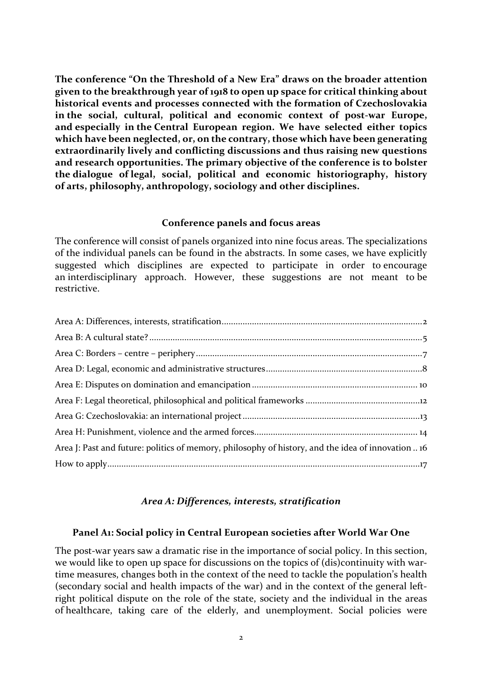**The conference "On the Threshold of a New Era" draws on the broader attention given to the breakthrough year of 1918 to open up space for critical thinking about historical events and processes connected with the formation of Czechoslovakia in the social, cultural, political and economic context of post-war Europe, and especially in the Central European region. We have selected either topics which have been neglected, or, on the contrary, those which have been generating extraordinarily lively and conflicting discussions and thus raising new questions and research opportunities. The primary objective of the conference is to bolster the dialogue of legal, social, political and economic historiography, history of arts, philosophy, anthropology, sociology and other disciplines.** 

#### **Conference panels and focus areas**

The conference will consist of panels organized into nine focus areas. The specializations of the individual panels can be found in the abstracts. In some cases, we have explicitly suggested which disciplines are expected to participate in order to encourage an interdisciplinary approach. However, these suggestions are not meant to be restrictive.

| Area J: Past and future: politics of memory, philosophy of history, and the idea of innovation  16 |  |
|----------------------------------------------------------------------------------------------------|--|
|                                                                                                    |  |
|                                                                                                    |  |

# *Area A: Differences, interests, stratification*

#### **Panel A1: Social policy in Central European societies after World War One**

The post-war years saw a dramatic rise in the importance of social policy. In this section, we would like to open up space for discussions on the topics of (dis)continuity with wartime measures, changes both in the context of the need to tackle the population's health (secondary social and health impacts of the war) and in the context of the general leftright political dispute on the role of the state, society and the individual in the areas of healthcare, taking care of the elderly, and unemployment. Social policies were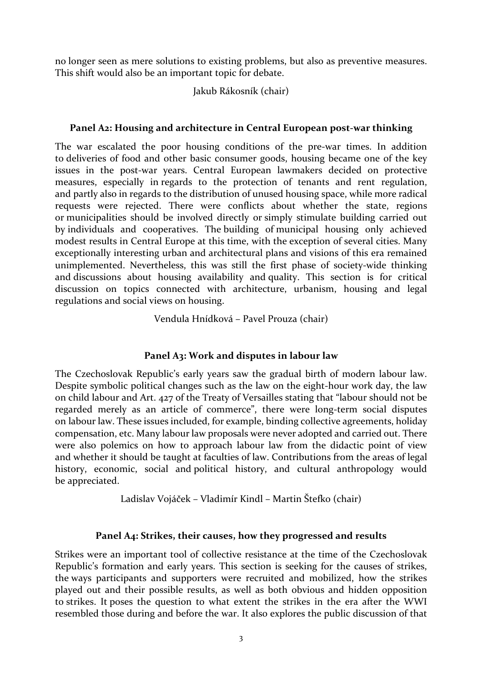no longer seen as mere solutions to existing problems, but also as preventive measures. This shift would also be an important topic for debate.

# Jakub Rákosník (chair)

# **Panel A2: Housing and architecture in Central European post-war thinking**

The war escalated the poor housing conditions of the pre-war times. In addition to deliveries of food and other basic consumer goods, housing became one of the key issues in the post-war years. Central European lawmakers decided on protective measures, especially in regards to the protection of tenants and rent regulation, and partly also in regards to the distribution of unused housing space, while more radical requests were rejected. There were conflicts about whether the state, regions or municipalities should be involved directly or simply stimulate building carried out by individuals and cooperatives. The building of municipal housing only achieved modest results in Central Europe at this time, with the exception of several cities. Many exceptionally interesting urban and architectural plans and visions of this era remained unimplemented. Nevertheless, this was still the first phase of society-wide thinking and discussions about housing availability and quality. This section is for critical discussion on topics connected with architecture, urbanism, housing and legal regulations and social views on housing.

Vendula Hnídková – Pavel Prouza (chair)

# **Panel A3: Work and disputes in labour law**

The Czechoslovak Republic's early years saw the gradual birth of modern labour law. Despite symbolic political changes such as the law on the eight-hour work day, the law on child labour and Art. 427 of the Treaty of Versailles stating that "labour should not be regarded merely as an article of commerce", there were long-term social disputes on labour law. These issues included, for example, binding collective agreements, holiday compensation, etc. Many labour law proposals were never adopted and carried out. There were also polemics on how to approach labour law from the didactic point of view and whether it should be taught at faculties of law. Contributions from the areas of legal history, economic, social and political history, and cultural anthropology would be appreciated.

Ladislav Vojáček – Vladimír Kindl – Martin Štefko (chair)

# **Panel A4: Strikes, their causes, how they progressed and results**

Strikes were an important tool of collective resistance at the time of the Czechoslovak Republic's formation and early years. This section is seeking for the causes of strikes, the ways participants and supporters were recruited and mobilized, how the strikes played out and their possible results, as well as both obvious and hidden opposition to strikes. It poses the question to what extent the strikes in the era after the WWI resembled those during and before the war. It also explores the public discussion of that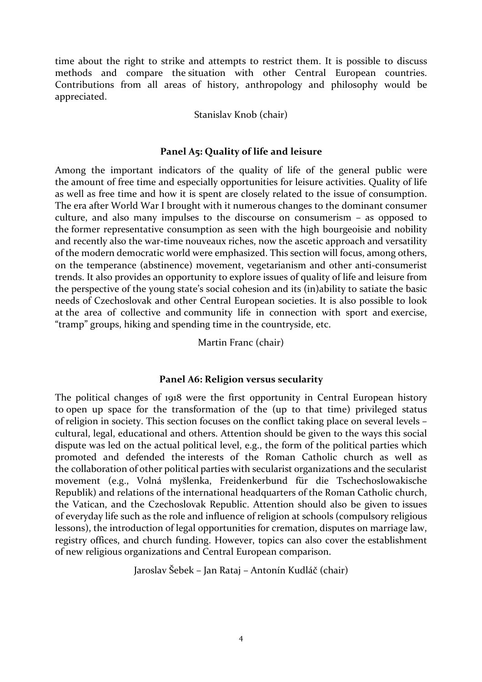time about the right to strike and attempts to restrict them. It is possible to discuss methods and compare the situation with other Central European countries. Contributions from all areas of history, anthropology and philosophy would be appreciated.

#### Stanislav Knob (chair)

#### **Panel A5: Quality of life and leisure**

Among the important indicators of the quality of life of the general public were the amount of free time and especially opportunities for leisure activities. Quality of life as well as free time and how it is spent are closely related to the issue of consumption. The era after World War I brought with it numerous changes to the dominant consumer culture, and also many impulses to the discourse on consumerism – as opposed to the former representative consumption as seen with the high bourgeoisie and nobility and recently also the war-time nouveaux riches, now the ascetic approach and versatility of the modern democratic world were emphasized. This section will focus, among others, on the temperance (abstinence) movement, vegetarianism and other anti-consumerist trends. It also provides an opportunity to explore issues of quality of life and leisure from the perspective of the young state's social cohesion and its (in)ability to satiate the basic needs of Czechoslovak and other Central European societies. It is also possible to look at the area of collective and community life in connection with sport and exercise, "tramp" groups, hiking and spending time in the countryside, etc.

Martin Franc (chair)

#### **Panel A6: Religion versus secularity**

The political changes of 1918 were the first opportunity in Central European history to open up space for the transformation of the (up to that time) privileged status of religion in society. This section focuses on the conflict taking place on several levels – cultural, legal, educational and others. Attention should be given to the ways this social dispute was led on the actual political level, e.g., the form of the political parties which promoted and defended the interests of the Roman Catholic church as well as the collaboration of other political parties with secularist organizations and the secularist movement (e.g., Volná myšlenka, Freidenkerbund für die Tschechoslowakische Republik) and relations of the international headquarters of the Roman Catholic church, the Vatican, and the Czechoslovak Republic. Attention should also be given to issues of everyday life such as the role and influence of religion at schools (compulsory religious lessons), the introduction of legal opportunities for cremation, disputes on marriage law, registry offices, and church funding. However, topics can also cover the establishment of new religious organizations and Central European comparison.

Jaroslav Šebek – Jan Rataj – Antonín Kudláč (chair)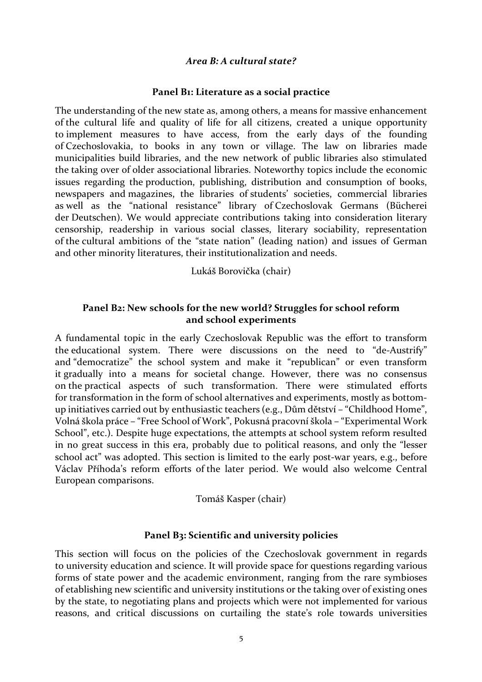#### *Area B: A cultural state?*

#### **Panel B1: Literature as a social practice**

The understanding of the new state as, among others, a means for massive enhancement of the cultural life and quality of life for all citizens, created a unique opportunity to implement measures to have access, from the early days of the founding of Czechoslovakia, to books in any town or village. The law on libraries made municipalities build libraries, and the new network of public libraries also stimulated the taking over of older associational libraries. Noteworthy topics include the economic issues regarding the production, publishing, distribution and consumption of books, newspapers and magazines, the libraries of students' societies, commercial libraries as well as the "national resistance" library of Czechoslovak Germans (Bücherei der Deutschen). We would appreciate contributions taking into consideration literary censorship, readership in various social classes, literary sociability, representation of the cultural ambitions of the "state nation" (leading nation) and issues of German and other minority literatures, their institutionalization and needs.

Lukáš Borovička (chair)

# **Panel B2: New schools for the new world? Struggles for school reform and school experiments**

A fundamental topic in the early Czechoslovak Republic was the effort to transform the educational system. There were discussions on the need to "de-Austrify" and "democratize" the school system and make it "republican" or even transform it gradually into a means for societal change. However, there was no consensus on the practical aspects of such transformation. There were stimulated efforts for transformation in the form of school alternatives and experiments, mostly as bottomup initiatives carried out by enthusiastic teachers (e.g., Dům dětství – "Childhood Home", Volná škola práce – "Free School of Work", Pokusná pracovní škola – "Experimental Work School", etc.). Despite huge expectations, the attempts at school system reform resulted in no great success in this era, probably due to political reasons, and only the "lesser school act" was adopted. This section is limited to the early post-war years, e.g., before Václav Příhoda's reform efforts of the later period. We would also welcome Central European comparisons.

Tomáš Kasper (chair)

#### **Panel B3: Scientific and university policies**

This section will focus on the policies of the Czechoslovak government in regards to university education and science. It will provide space for questions regarding various forms of state power and the academic environment, ranging from the rare symbioses of etablishing new scientific and university institutions or the taking over of existing ones by the state, to negotiating plans and projects which were not implemented for various reasons, and critical discussions on curtailing the state's role towards universities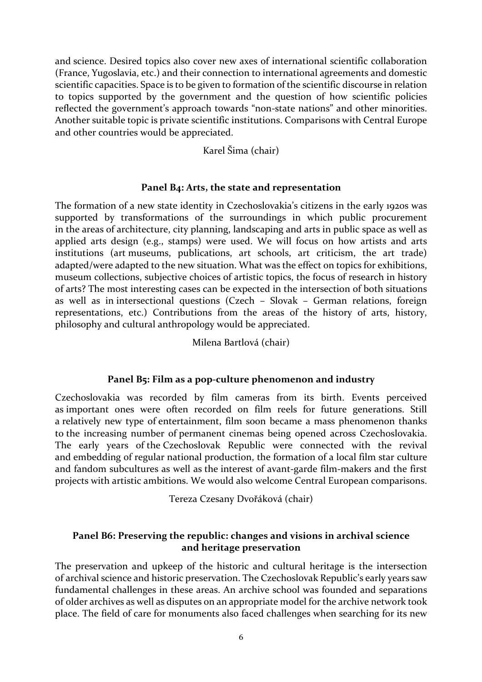and science. Desired topics also cover new axes of international scientific collaboration (France, Yugoslavia, etc.) and their connection to international agreements and domestic scientific capacities. Space is to be given to formation of the scientific discourse in relation to topics supported by the government and the question of how scientific policies reflected the government's approach towards "non-state nations" and other minorities. Another suitable topic is private scientific institutions. Comparisons with Central Europe and other countries would be appreciated.

Karel Šima (chair)

#### **Panel B4: Arts, the state and representation**

The formation of a new state identity in Czechoslovakia's citizens in the early 1920s was supported by transformations of the surroundings in which public procurement in the areas of architecture, city planning, landscaping and arts in public space as well as applied arts design (e.g., stamps) were used. We will focus on how artists and arts institutions (art museums, publications, art schools, art criticism, the art trade) adapted/were adapted to the new situation. What was the effect on topics for exhibitions, museum collections, subjective choices of artistic topics, the focus of research in history of arts? The most interesting cases can be expected in the intersection of both situations as well as in intersectional questions (Czech – Slovak – German relations, foreign representations, etc.) Contributions from the areas of the history of arts, history, philosophy and cultural anthropology would be appreciated.

#### Milena Bartlová (chair)

# **Panel B5: Film as a pop-culture phenomenon and industry**

Czechoslovakia was recorded by film cameras from its birth. Events perceived as important ones were often recorded on film reels for future generations. Still a relatively new type of entertainment, film soon became a mass phenomenon thanks to the increasing number of permanent cinemas being opened across Czechoslovakia. The early years of the Czechoslovak Republic were connected with the revival and embedding of regular national production, the formation of a local film star culture and fandom subcultures as well as the interest of avant-garde film-makers and the first projects with artistic ambitions. We would also welcome Central European comparisons.

Tereza Czesany Dvořáková (chair)

#### **Panel B6: Preserving the republic: changes and visions in archival science and heritage preservation**

The preservation and upkeep of the historic and cultural heritage is the intersection of archival science and historic preservation. The Czechoslovak Republic's early years saw fundamental challenges in these areas. An archive school was founded and separations of older archives as well as disputes on an appropriate model for the archive network took place. The field of care for monuments also faced challenges when searching for its new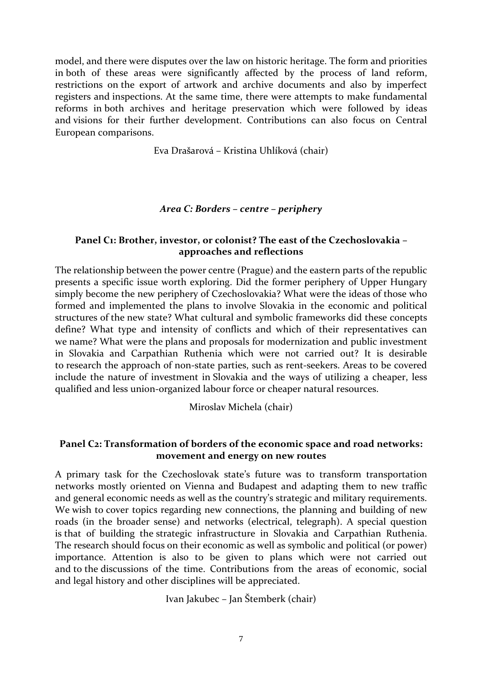model, and there were disputes over the law on historic heritage. The form and priorities in both of these areas were significantly affected by the process of land reform, restrictions on the export of artwork and archive documents and also by imperfect registers and inspections. At the same time, there were attempts to make fundamental reforms in both archives and heritage preservation which were followed by ideas and visions for their further development. Contributions can also focus on Central European comparisons.

Eva Drašarová – Kristina Uhlíková (chair)

# *Area C: Borders – centre – periphery*

# **Panel C1: Brother, investor, or colonist? The east of the Czechoslovakia – approaches and reflections**

The relationship between the power centre (Prague) and the eastern parts of the republic presents a specific issue worth exploring. Did the former periphery of Upper Hungary simply become the new periphery of Czechoslovakia? What were the ideas of those who formed and implemented the plans to involve Slovakia in the economic and political structures of the new state? What cultural and symbolic frameworks did these concepts define? What type and intensity of conflicts and which of their representatives can we name? What were the plans and proposals for modernization and public investment in Slovakia and Carpathian Ruthenia which were not carried out? It is desirable to research the approach of non-state parties, such as rent-seekers. Areas to be covered include the nature of investment in Slovakia and the ways of utilizing a cheaper, less qualified and less union-organized labour force or cheaper natural resources.

Miroslav Michela (chair)

# **Panel C2: Transformation of borders of the economic space and road networks: movement and energy on new routes**

A primary task for the Czechoslovak state's future was to transform transportation networks mostly oriented on Vienna and Budapest and adapting them to new traffic and general economic needs as well as the country's strategic and military requirements. We wish to cover topics regarding new connections, the planning and building of new roads (in the broader sense) and networks (electrical, telegraph). A special question is that of building the strategic infrastructure in Slovakia and Carpathian Ruthenia. The research should focus on their economic as well as symbolic and political (or power) importance. Attention is also to be given to plans which were not carried out and to the discussions of the time. Contributions from the areas of economic, social and legal history and other disciplines will be appreciated.

Ivan Jakubec – Jan Štemberk (chair)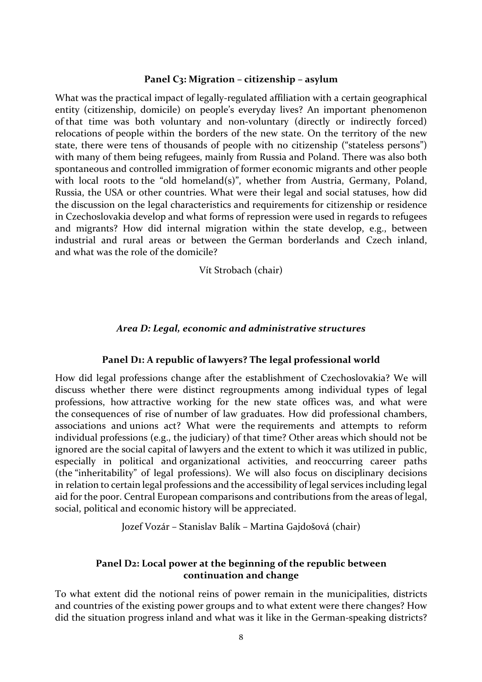#### **Panel C3: Migration – citizenship – asylum**

What was the practical impact of legally-regulated affiliation with a certain geographical entity (citizenship, domicile) on people's everyday lives? An important phenomenon of that time was both voluntary and non-voluntary (directly or indirectly forced) relocations of people within the borders of the new state. On the territory of the new state, there were tens of thousands of people with no citizenship ("stateless persons") with many of them being refugees, mainly from Russia and Poland. There was also both spontaneous and controlled immigration of former economic migrants and other people with local roots to the "old homeland(s)", whether from Austria, Germany, Poland, Russia, the USA or other countries. What were their legal and social statuses, how did the discussion on the legal characteristics and requirements for citizenship or residence in Czechoslovakia develop and what forms of repression were used in regards to refugees and migrants? How did internal migration within the state develop, e.g., between industrial and rural areas or between the German borderlands and Czech inland, and what was the role of the domicile?

#### Vít Strobach (chair)

#### *Area D: Legal, economic and administrative structures*

#### **Panel D1: A republic of lawyers? The legal professional world**

How did legal professions change after the establishment of Czechoslovakia? We will discuss whether there were distinct regroupments among individual types of legal professions, how attractive working for the new state offices was, and what were the consequences of rise of number of law graduates. How did professional chambers, associations and unions act? What were the requirements and attempts to reform individual professions (e.g., the judiciary) of that time? Other areas which should not be ignored are the social capital of lawyers and the extent to which it was utilized in public, especially in political and organizational activities, and reoccurring career paths (the "inheritability" of legal professions). We will also focus on disciplinary decisions in relation to certain legal professions and the accessibility of legal services including legal aid for the poor. Central European comparisons and contributions from the areas of legal, social, political and economic history will be appreciated.

Jozef Vozár – Stanislav Balík – Martina Gajdošová (chair)

#### **Panel D2: Local power at the beginning of the republic between continuation and change**

To what extent did the notional reins of power remain in the municipalities, districts and countries of the existing power groups and to what extent were there changes? How did the situation progress inland and what was it like in the German-speaking districts?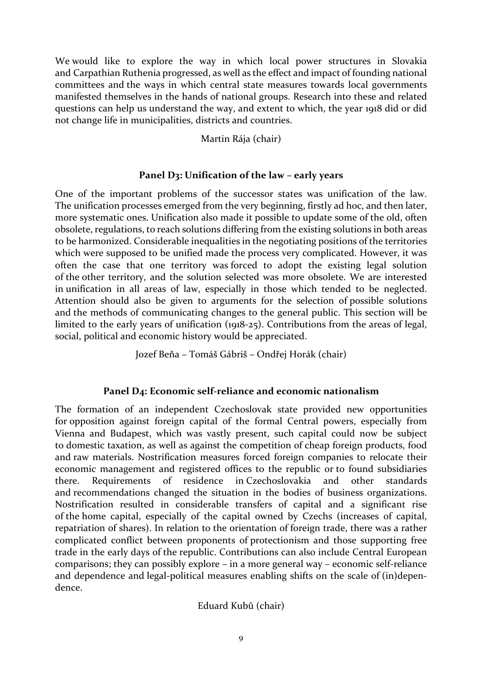We would like to explore the way in which local power structures in Slovakia and Carpathian Ruthenia progressed, as well as the effect and impact of founding national committees and the ways in which central state measures towards local governments manifested themselves in the hands of national groups. Research into these and related questions can help us understand the way, and extent to which, the year 1918 did or did not change life in municipalities, districts and countries.

Martin Rája (chair)

# **Panel D3: Unification of the law – early years**

One of the important problems of the successor states was unification of the law. The unification processes emerged from the very beginning, firstly ad hoc, and then later, more systematic ones. Unification also made it possible to update some of the old, often obsolete, regulations, to reach solutions differing from the existing solutions in both areas to be harmonized. Considerable inequalities in the negotiating positions of the territories which were supposed to be unified made the process very complicated. However, it was often the case that one territory was forced to adopt the existing legal solution of the other territory, and the solution selected was more obsolete. We are interested in unification in all areas of law, especially in those which tended to be neglected. Attention should also be given to arguments for the selection of possible solutions and the methods of communicating changes to the general public. This section will be limited to the early years of unification (1918-25). Contributions from the areas of legal, social, political and economic history would be appreciated.

Jozef Beňa – Tomáš Gábriš – Ondřej Horák (chair)

# **Panel D4: Economic self-reliance and economic nationalism**

The formation of an independent Czechoslovak state provided new opportunities for opposition against foreign capital of the formal Central powers, especially from Vienna and Budapest, which was vastly present, such capital could now be subject to domestic taxation, as well as against the competition of cheap foreign products, food and raw materials. Nostrification measures forced foreign companies to relocate their economic management and registered offices to the republic or to found subsidiaries there. Requirements of residence in Czechoslovakia and other standards and recommendations changed the situation in the bodies of business organizations. Nostrification resulted in considerable transfers of capital and a significant rise of the home capital, especially of the capital owned by Czechs (increases of capital, repatriation of shares). In relation to the orientation of foreign trade, there was a rather complicated conflict between proponents of protectionism and those supporting free trade in the early days of the republic. Contributions can also include Central European comparisons; they can possibly explore – in a more general way – economic self-reliance and dependence and legal-political measures enabling shifts on the scale of (in)dependence.

Eduard Kubů (chair)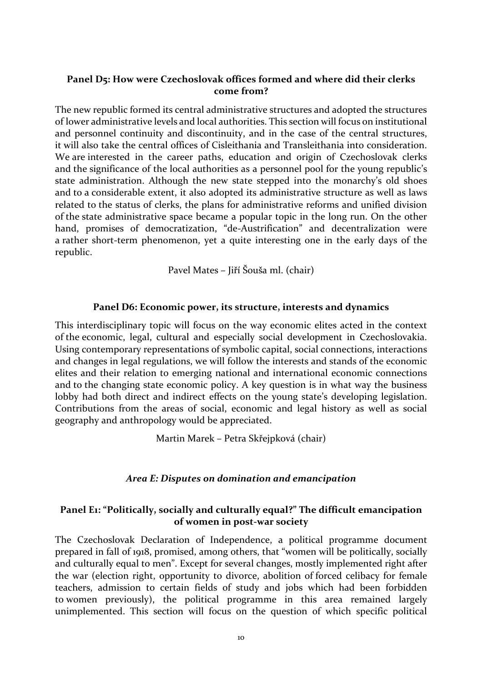# **Panel D5: How were Czechoslovak offices formed and where did their clerks come from?**

The new republic formed its central administrative structures and adopted the structures of lower administrative levels and local authorities. This section will focus on institutional and personnel continuity and discontinuity, and in the case of the central structures, it will also take the central offices of Cisleithania and Transleithania into consideration. We are interested in the career paths, education and origin of Czechoslovak clerks and the significance of the local authorities as a personnel pool for the young republic's state administration. Although the new state stepped into the monarchy's old shoes and to a considerable extent, it also adopted its administrative structure as well as laws related to the status of clerks, the plans for administrative reforms and unified division of the state administrative space became a popular topic in the long run. On the other hand, promises of democratization, "de-Austrification" and decentralization were a rather short-term phenomenon, yet a quite interesting one in the early days of the republic.

Pavel Mates – Jiří Šouša ml. (chair)

#### **Panel D6: Economic power, its structure, interests and dynamics**

This interdisciplinary topic will focus on the way economic elites acted in the context of the economic, legal, cultural and especially social development in Czechoslovakia. Using contemporary representations of symbolic capital, social connections, interactions and changes in legal regulations, we will follow the interests and stands of the economic elites and their relation to emerging national and international economic connections and to the changing state economic policy. A key question is in what way the business lobby had both direct and indirect effects on the young state's developing legislation. Contributions from the areas of social, economic and legal history as well as social geography and anthropology would be appreciated.

Martin Marek – Petra Skřejpková (chair)

# *Area E: Disputes on domination and emancipation*

# **Panel E1: "Politically, socially and culturally equal?" The difficult emancipation of women in post-war society**

The Czechoslovak Declaration of Independence, a political programme document prepared in fall of 1918, promised, among others, that "women will be politically, socially and culturally equal to men". Except for several changes, mostly implemented right after the war (election right, opportunity to divorce, abolition of forced celibacy for female teachers, admission to certain fields of study and jobs which had been forbidden to women previously), the political programme in this area remained largely unimplemented. This section will focus on the question of which specific political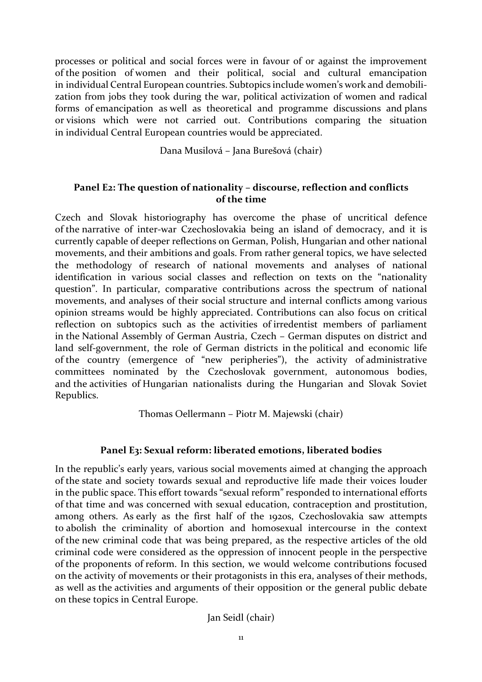processes or political and social forces were in favour of or against the improvement of the position of women and their political, social and cultural emancipation in individual Central European countries. Subtopics include women's work and demobilization from jobs they took during the war, political activization of women and radical forms of emancipation as well as theoretical and programme discussions and plans or visions which were not carried out. Contributions comparing the situation in individual Central European countries would be appreciated.

Dana Musilová – Jana Burešová (chair)

# **Panel E2: The question of nationality – discourse, reflection and conflicts of the time**

Czech and Slovak historiography has overcome the phase of uncritical defence of the narrative of inter-war Czechoslovakia being an island of democracy, and it is currently capable of deeper reflections on German, Polish, Hungarian and other national movements, and their ambitions and goals. From rather general topics, we have selected the methodology of research of national movements and analyses of national identification in various social classes and reflection on texts on the "nationality question". In particular, comparative contributions across the spectrum of national movements, and analyses of their social structure and internal conflicts among various opinion streams would be highly appreciated. Contributions can also focus on critical reflection on subtopics such as the activities of irredentist members of parliament in the National Assembly of German Austria, Czech – German disputes on district and land self-government, the role of German districts in the political and economic life of the country (emergence of "new peripheries"), the activity of administrative committees nominated by the Czechoslovak government, autonomous bodies, and the activities of Hungarian nationalists during the Hungarian and Slovak Soviet Republics.

Thomas Oellermann – Piotr M. Majewski (chair)

# **Panel E3: Sexual reform: liberated emotions, liberated bodies**

In the republic's early years, various social movements aimed at changing the approach of the state and society towards sexual and reproductive life made their voices louder in the public space. This effort towards "sexual reform" responded to international efforts of that time and was concerned with sexual education, contraception and prostitution, among others. As early as the first half of the 1920s, Czechoslovakia saw attempts to abolish the criminality of abortion and homosexual intercourse in the context of the new criminal code that was being prepared, as the respective articles of the old criminal code were considered as the oppression of innocent people in the perspective of the proponents of reform. In this section, we would welcome contributions focused on the activity of movements or their protagonists in this era, analyses of their methods, as well as the activities and arguments of their opposition or the general public debate on these topics in Central Europe.

Jan Seidl (chair)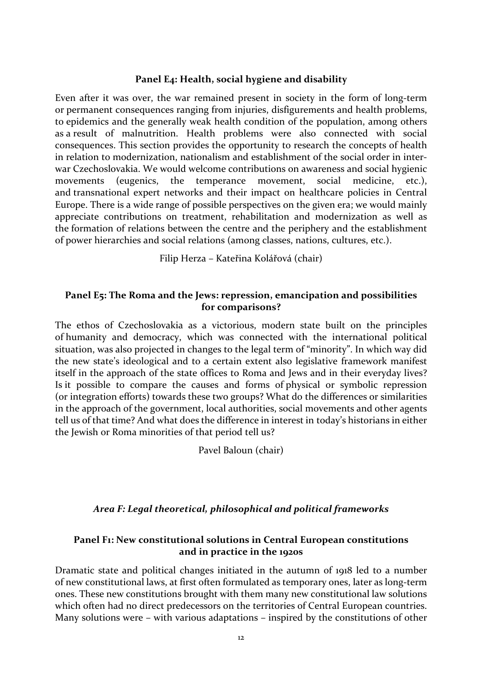#### **Panel E4: Health, social hygiene and disability**

Even after it was over, the war remained present in society in the form of long-term or permanent consequences ranging from injuries, disfigurements and health problems, to epidemics and the generally weak health condition of the population, among others as a result of malnutrition. Health problems were also connected with social consequences. This section provides the opportunity to research the concepts of health in relation to modernization, nationalism and establishment of the social order in interwar Czechoslovakia. We would welcome contributions on awareness and social hygienic movements (eugenics, the temperance movement, social medicine, etc.), and transnational expert networks and their impact on healthcare policies in Central Europe. There is a wide range of possible perspectives on the given era; we would mainly appreciate contributions on treatment, rehabilitation and modernization as well as the formation of relations between the centre and the periphery and the establishment of power hierarchies and social relations (among classes, nations, cultures, etc.).

Filip Herza – Kateřina Kolářová (chair)

#### **Panel E5: The Roma and the Jews: repression, emancipation and possibilities for comparisons?**

The ethos of Czechoslovakia as a victorious, modern state built on the principles of humanity and democracy, which was connected with the international political situation, was also projected in changes to the legal term of "minority". In which way did the new state's ideological and to a certain extent also legislative framework manifest itself in the approach of the state offices to Roma and Jews and in their everyday lives? Is it possible to compare the causes and forms of physical or symbolic repression (or integration efforts) towards these two groups? What do the differences or similarities in the approach of the government, local authorities, social movements and other agents tell us of that time? And what does the difference in interest in today's historians in either the Jewish or Roma minorities of that period tell us?

Pavel Baloun (chair)

# *Area F: Legal theoretical, philosophical and political frameworks*

#### **Panel F1: New constitutional solutions in Central European constitutions and in practice in the 1920s**

Dramatic state and political changes initiated in the autumn of 1918 led to a number of new constitutional laws, at first often formulated as temporary ones, later as long-term ones. These new constitutions brought with them many new constitutional law solutions which often had no direct predecessors on the territories of Central European countries. Many solutions were – with various adaptations – inspired by the constitutions of other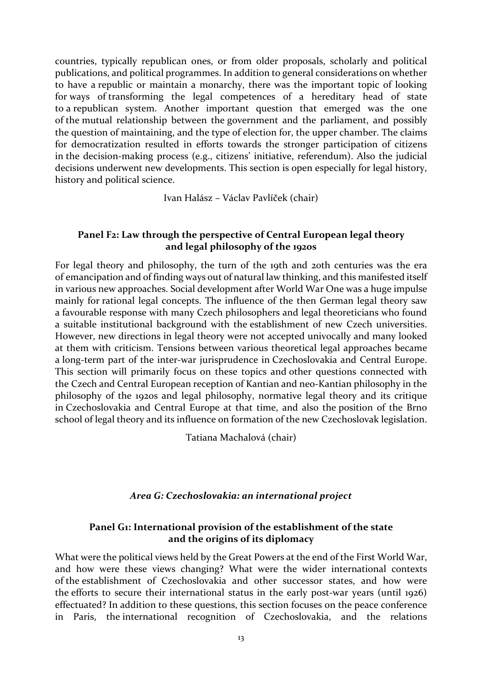countries, typically republican ones, or from older proposals, scholarly and political publications, and political programmes. In addition to general considerations on whether to have a republic or maintain a monarchy, there was the important topic of looking for ways of transforming the legal competences of a hereditary head of state to a republican system. Another important question that emerged was the one of the mutual relationship between the government and the parliament, and possibly the question of maintaining, and the type of election for, the upper chamber. The claims for democratization resulted in efforts towards the stronger participation of citizens in the decision-making process (e.g., citizens' initiative, referendum). Also the judicial decisions underwent new developments. This section is open especially for legal history, history and political science.

Ivan Halász – Václav Pavlíček (chair)

#### **Panel F2: Law through the perspective of Central European legal theory and legal philosophy of the 1920s**

For legal theory and philosophy, the turn of the 19th and 20th centuries was the era of emancipation and of finding ways out of natural law thinking, and this manifested itself in various new approaches. Social development after World War One was a huge impulse mainly for rational legal concepts. The influence of the then German legal theory saw a favourable response with many Czech philosophers and legal theoreticians who found a suitable institutional background with the establishment of new Czech universities. However, new directions in legal theory were not accepted univocally and many looked at them with criticism. Tensions between various theoretical legal approaches became a long-term part of the inter-war jurisprudence in Czechoslovakia and Central Europe. This section will primarily focus on these topics and other questions connected with the Czech and Central European reception of Kantian and neo-Kantian philosophy in the philosophy of the 1920s and legal philosophy, normative legal theory and its critique in Czechoslovakia and Central Europe at that time, and also the position of the Brno school of legal theory and its influence on formation of the new Czechoslovak legislation.

Tatiana Machalová (chair)

#### *Area G: Czechoslovakia: an international project*

# **Panel G1: International provision of the establishment of the state and the origins of its diplomacy**

What were the political views held by the Great Powers at the end of the First World War, and how were these views changing? What were the wider international contexts of the establishment of Czechoslovakia and other successor states, and how were the efforts to secure their international status in the early post-war years (until 1926) effectuated? In addition to these questions, this section focuses on the peace conference in Paris, the international recognition of Czechoslovakia, and the relations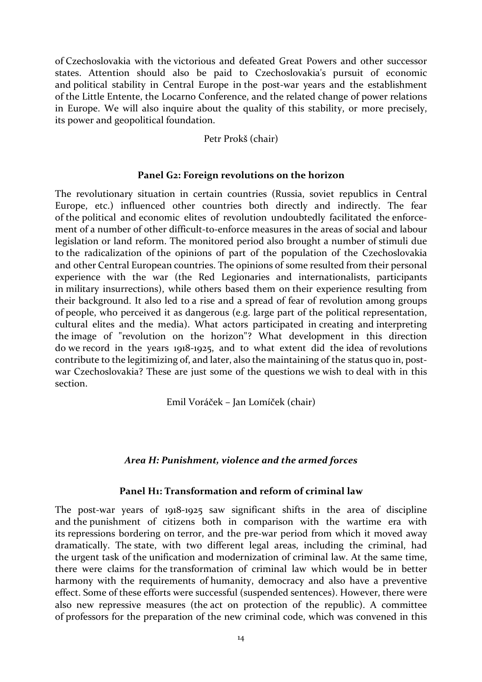of Czechoslovakia with the victorious and defeated Great Powers and other successor states. Attention should also be paid to Czechoslovakia's pursuit of economic and political stability in Central Europe in the post-war years and the establishment of the Little Entente, the Locarno Conference, and the related change of power relations in Europe. We will also inquire about the quality of this stability, or more precisely, its power and geopolitical foundation.

#### Petr Prokš (chair)

#### **Panel G2: Foreign revolutions on the horizon**

The revolutionary situation in certain countries (Russia, soviet republics in Central Europe, etc.) influenced other countries both directly and indirectly. The fear of the political and economic elites of revolution undoubtedly facilitated the enforcement of a number of other difficult-to-enforce measures in the areas of social and labour legislation or land reform. The monitored period also brought a number of stimuli due to the radicalization of the opinions of part of the population of the Czechoslovakia and other Central European countries. The opinions of some resulted from their personal experience with the war (the Red Legionaries and internationalists, participants in military insurrections), while others based them on their experience resulting from their background. It also led to a rise and a spread of fear of revolution among groups of people, who perceived it as dangerous (e.g. large part of the political representation, cultural elites and the media). What actors participated in creating and interpreting the image of "revolution on the horizon"? What development in this direction do we record in the years 1918-1925, and to what extent did the idea of revolutions contribute to the legitimizing of, and later, also the maintaining of the status quo in, postwar Czechoslovakia? These are just some of the questions we wish to deal with in this section.

Emil Voráček – Jan Lomíček (chair)

# *Area H: Punishment, violence and the armed forces*

#### **Panel H1: Transformation and reform of criminal law**

The post-war years of 1918-1925 saw significant shifts in the area of discipline and the punishment of citizens both in comparison with the wartime era with its repressions bordering on terror, and the pre-war period from which it moved away dramatically. The state, with two different legal areas, including the criminal, had the urgent task of the unification and modernization of criminal law. At the same time, there were claims for the transformation of criminal law which would be in better harmony with the requirements of humanity, democracy and also have a preventive effect. Some of these efforts were successful (suspended sentences). However, there were also new repressive measures (the act on protection of the republic). A committee of professors for the preparation of the new criminal code, which was convened in this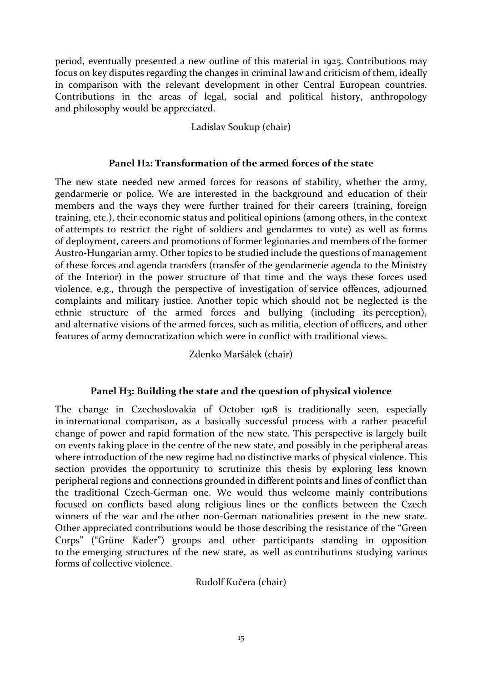period, eventually presented a new outline of this material in 1925. Contributions may focus on key disputes regarding the changes in criminal law and criticism of them, ideally in comparison with the relevant development in other Central European countries. Contributions in the areas of legal, social and political history, anthropology and philosophy would be appreciated.

Ladislav Soukup (chair)

#### **Panel H2: Transformation of the armed forces of the state**

The new state needed new armed forces for reasons of stability, whether the army, gendarmerie or police. We are interested in the background and education of their members and the ways they were further trained for their careers (training, foreign training, etc.), their economic status and political opinions (among others, in the context of attempts to restrict the right of soldiers and gendarmes to vote) as well as forms of deployment, careers and promotions of former legionaries and members of the former Austro-Hungarian army. Other topics to be studied include the questions of management of these forces and agenda transfers (transfer of the gendarmerie agenda to the Ministry of the Interior) in the power structure of that time and the ways these forces used violence, e.g., through the perspective of investigation of service offences, adjourned complaints and military justice. Another topic which should not be neglected is the ethnic structure of the armed forces and bullying (including its perception), and alternative visions of the armed forces, such as militia, election of officers, and other features of army democratization which were in conflict with traditional views.

Zdenko Maršálek (chair)

# **Panel H3: Building the state and the question of physical violence**

The change in Czechoslovakia of October 1918 is traditionally seen, especially in international comparison, as a basically successful process with a rather peaceful change of power and rapid formation of the new state. This perspective is largely built on events taking place in the centre of the new state, and possibly in the peripheral areas where introduction of the new regime had no distinctive marks of physical violence. This section provides the opportunity to scrutinize this thesis by exploring less known peripheral regions and connections grounded in different points and lines of conflict than the traditional Czech-German one. We would thus welcome mainly contributions focused on conflicts based along religious lines or the conflicts between the Czech winners of the war and the other non-German nationalities present in the new state. Other appreciated contributions would be those describing the resistance of the "Green Corps" ("Grüne Kader") groups and other participants standing in opposition to the emerging structures of the new state, as well as contributions studying various forms of collective violence.

Rudolf Kučera (chair)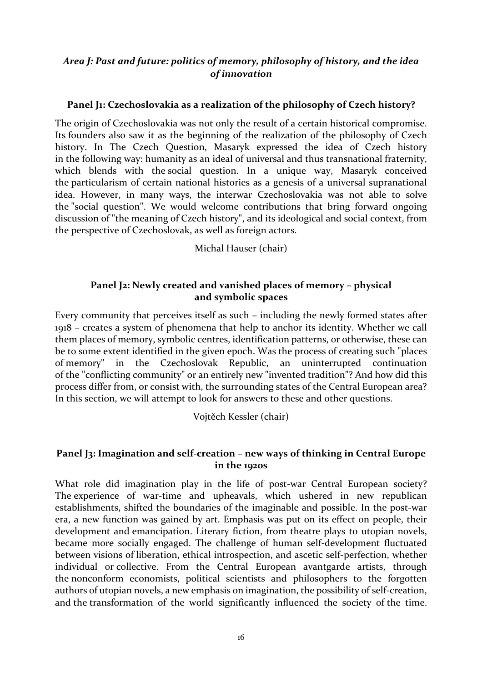# *Area J: Past and future: politics of memory, philosophy of history, and the idea of innovation*

# **Panel J1: Czechoslovakia as a realization of the philosophy of Czech history?**

The origin of Czechoslovakia was not only the result of a certain historical compromise. Its founders also saw it as the beginning of the realization of the philosophy of Czech history. In The Czech Question, Masaryk expressed the idea of Czech history in the following way: humanity as an ideal of universal and thus transnational fraternity, which blends with the social question. In a unique way, Masaryk conceived the particularism of certain national histories as a genesis of a universal supranational idea. However, in many ways, the interwar Czechoslovakia was not able to solve the "social question". We would welcome contributions that bring forward ongoing discussion of "the meaning of Czech history", and its ideological and social context, from the perspective of Czechoslovak, as well as foreign actors.

Michal Hauser (chair)

# **Panel J2: Newly created and vanished places of memory – physical and symbolic spaces**

Every community that perceives itself as such – including the newly formed states after 1918 – creates a system of phenomena that help to anchor its identity. Whether we call them places of memory, symbolic centres, identification patterns, or otherwise, these can be to some extent identified in the given epoch. Was the process of creating such "places of memory" in the Czechoslovak Republic, an uninterrupted continuation of the "conflicting community" or an entirely new "invented tradition"? And how did this process differ from, or consist with, the surrounding states of the Central European area? In this section, we will attempt to look for answers to these and other questions.

Vojtěch Kessler (chair)

# **Panel J3: Imagination and self-creation – new ways of thinking in Central Europe in the 1920s**

What role did imagination play in the life of post-war Central European society? The experience of war-time and upheavals, which ushered in new republican establishments, shifted the boundaries of the imaginable and possible. In the post-war era, a new function was gained by art. Emphasis was put on its effect on people, their development and emancipation. Literary fiction, from theatre plays to utopian novels, became more socially engaged. The challenge of human self-development fluctuated between visions of liberation, ethical introspection, and ascetic self-perfection, whether individual or collective. From the Central European avantgarde artists, through the nonconform economists, political scientists and philosophers to the forgotten authors of utopian novels, a new emphasis on imagination, the possibility of self-creation, and the transformation of the world significantly influenced the society of the time.